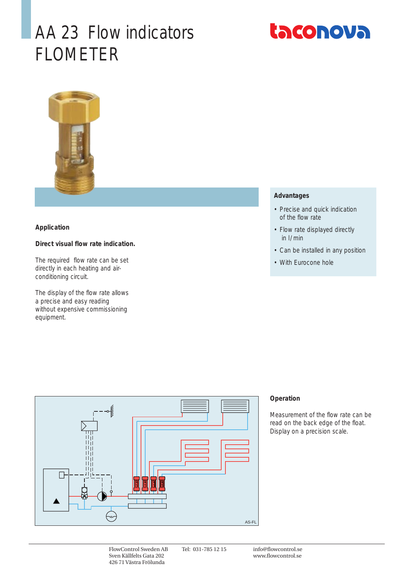# AA 23 Flow indicators FLOMETER





### **Application**

## **Direct visual flow rate indication.**

The required flow rate can be set directly in each heating and airconditioning circuit.

The display of the flow rate allows a precise and easy reading without expensive commissioning equipment.

### **Advantages**

- Precise and quick indication of the flow rate
- Flow rate displayed directly in l/ min
- Can be installed in any position
- With Eurocone hole



### **Operation**

Measurement of the flow rate can be read on the back edge of the float. Display on a precision scale.

Tel: 031-785 12 15 info@flowcontrol.se www.flowcontrol.se